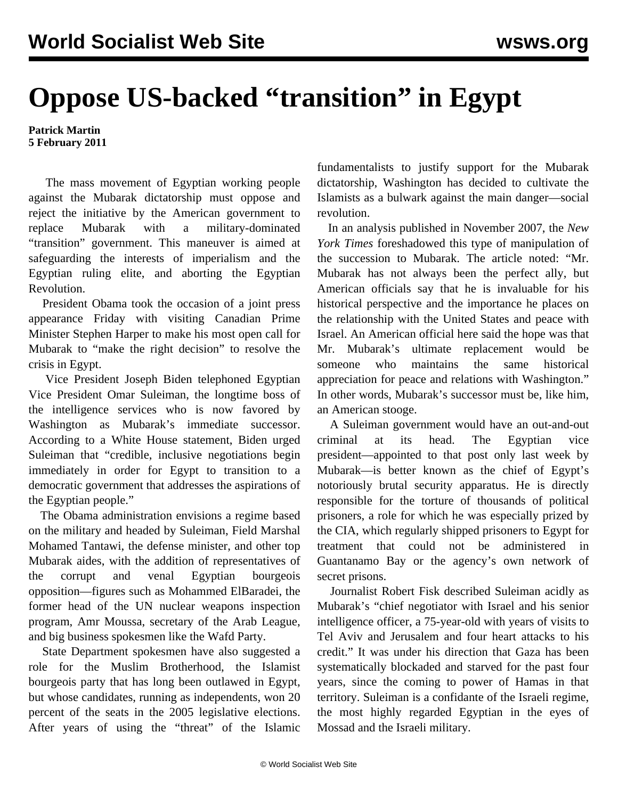## **Oppose US-backed "transition" in Egypt**

**Patrick Martin 5 February 2011**

 The mass movement of Egyptian working people against the Mubarak dictatorship must oppose and reject the initiative by the American government to replace Mubarak with a military-dominated "transition" government. This maneuver is aimed at safeguarding the interests of imperialism and the Egyptian ruling elite, and aborting the Egyptian Revolution.

 President Obama took the occasion of a joint press appearance Friday with visiting Canadian Prime Minister Stephen Harper to make his most open call for Mubarak to "make the right decision" to resolve the crisis in Egypt.

 Vice President Joseph Biden telephoned Egyptian Vice President Omar Suleiman, the longtime boss of the intelligence services who is now favored by Washington as Mubarak's immediate successor. According to a White House statement, Biden urged Suleiman that "credible, inclusive negotiations begin immediately in order for Egypt to transition to a democratic government that addresses the aspirations of the Egyptian people."

 The Obama administration envisions a regime based on the military and headed by Suleiman, Field Marshal Mohamed Tantawi, the defense minister, and other top Mubarak aides, with the addition of representatives of the corrupt and venal Egyptian bourgeois opposition—figures such as Mohammed ElBaradei, the former head of the UN nuclear weapons inspection program, Amr Moussa, secretary of the Arab League, and big business spokesmen like the Wafd Party.

 State Department spokesmen have also suggested a role for the Muslim Brotherhood, the Islamist bourgeois party that has long been outlawed in Egypt, but whose candidates, running as independents, won 20 percent of the seats in the 2005 legislative elections. After years of using the "threat" of the Islamic fundamentalists to justify support for the Mubarak dictatorship, Washington has decided to cultivate the Islamists as a bulwark against the main danger—social revolution.

 In an analysis published in November 2007, the *New York Times* foreshadowed this type of manipulation of the succession to Mubarak. The article noted: "Mr. Mubarak has not always been the perfect ally, but American officials say that he is invaluable for his historical perspective and the importance he places on the relationship with the United States and peace with Israel. An American official here said the hope was that Mr. Mubarak's ultimate replacement would be someone who maintains the same historical appreciation for peace and relations with Washington." In other words, Mubarak's successor must be, like him, an American stooge.

 A Suleiman government would have an out-and-out criminal at its head. The Egyptian vice president—appointed to that post only last week by Mubarak—is better known as the chief of Egypt's notoriously brutal security apparatus. He is directly responsible for the torture of thousands of political prisoners, a role for which he was especially prized by the CIA, which regularly shipped prisoners to Egypt for treatment that could not be administered in Guantanamo Bay or the agency's own network of secret prisons.

 Journalist Robert Fisk described Suleiman acidly as Mubarak's "chief negotiator with Israel and his senior intelligence officer, a 75-year-old with years of visits to Tel Aviv and Jerusalem and four heart attacks to his credit." It was under his direction that Gaza has been systematically blockaded and starved for the past four years, since the coming to power of Hamas in that territory. Suleiman is a confidante of the Israeli regime, the most highly regarded Egyptian in the eyes of Mossad and the Israeli military.